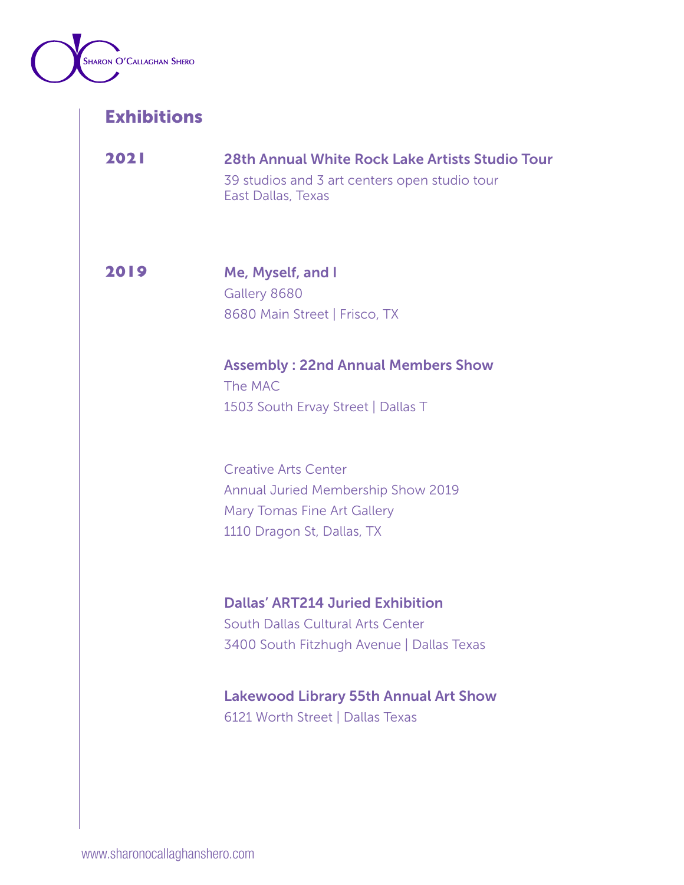

**2021** 28th Annual White Rock Lake Artists Studio Tour 39 studios and 3 art centers open studio tour East Dallas, Texas

**2019** Me, Myself, and I Gallery 8680 8680 Main Street | Frisco, TX

> Assembly : 22nd Annual Members Show The MAC 1503 South Ervay Street | Dallas T

Creative Arts Center Annual Juried Membership Show 2019 Mary Tomas Fine Art Gallery 1110 Dragon St, Dallas, TX

Dallas' ART214 Juried Exhibition South Dallas Cultural Arts Center 3400 South Fitzhugh Avenue | Dallas Texas

## Lakewood Library 55th Annual Art Show

6121 Worth Street | Dallas Texas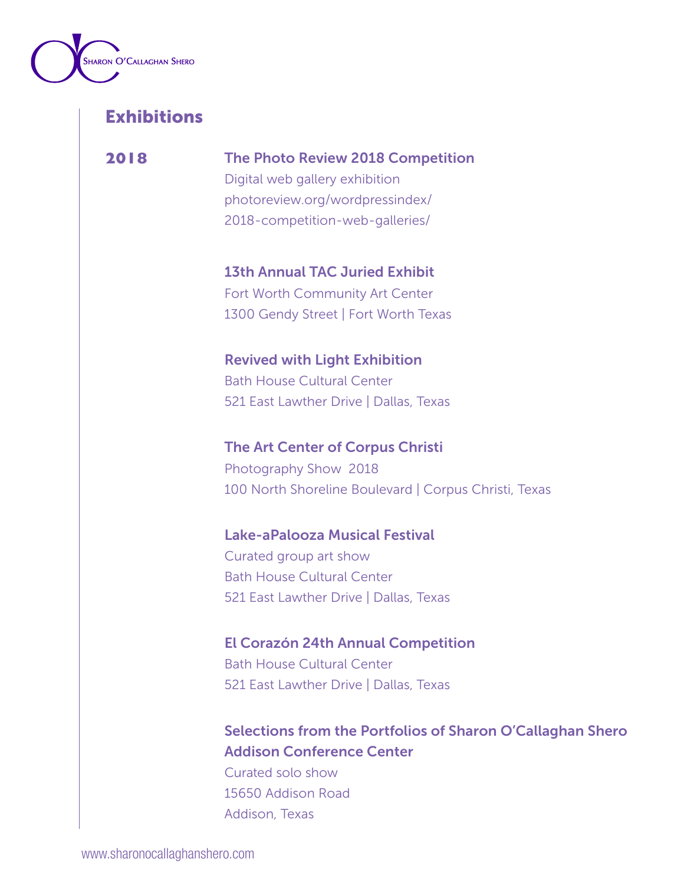

**2018** The Photo Review 2018 Competition

Digital web gallery exhibition photoreview.org/wordpressindex/ 2018-competition-web-galleries/

13th Annual TAC Juried Exhibit Fort Worth Community Art Center 1300 Gendy Street | Fort Worth Texas

Revived with Light Exhibition Bath House Cultural Center 521 East Lawther Drive | Dallas, Texas

The Art Center of Corpus Christi Photography Show 2018 100 North Shoreline Boulevard | Corpus Christi, Texas

Lake-aPalooza Musical Festival

Curated group art show Bath House Cultural Center 521 East Lawther Drive | Dallas, Texas

El Corazón 24th Annual Competition Bath House Cultural Center 521 East Lawther Drive | Dallas, Texas

Selections from the Portfolios of Sharon O'Callaghan Shero Addison Conference Center

Curated solo show 15650 Addison Road Addison, Texas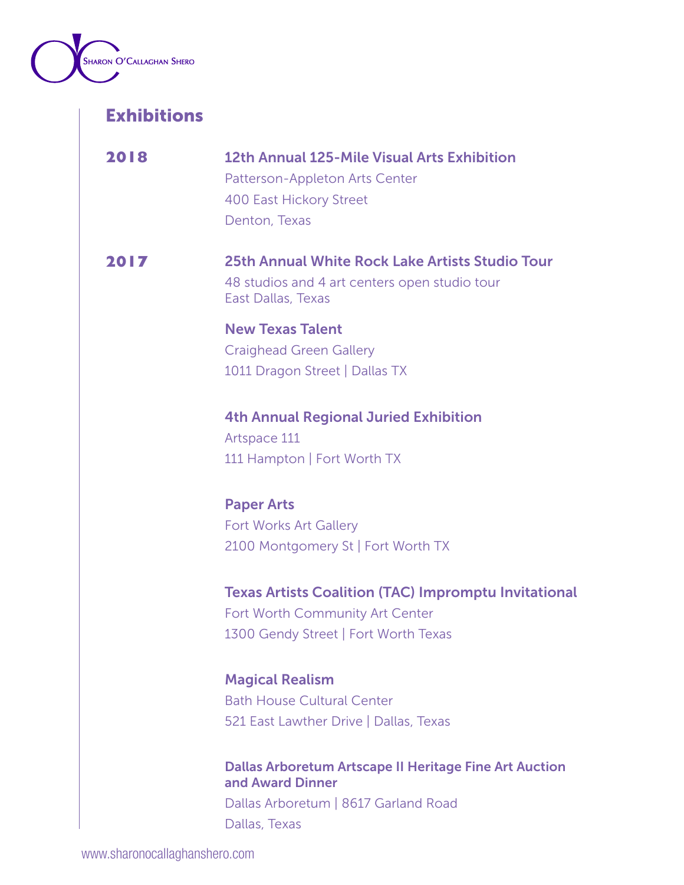

| 2018 | 12th Annual 125-Mile Visual Arts Exhibition<br>Patterson-Appleton Arts Center<br><b>400 East Hickory Street</b><br>Denton, Texas           |
|------|--------------------------------------------------------------------------------------------------------------------------------------------|
| 2017 | 25th Annual White Rock Lake Artists Studio Tour<br>48 studios and 4 art centers open studio tour<br>East Dallas, Texas                     |
|      | <b>New Texas Talent</b><br><b>Craighead Green Gallery</b><br>1011 Dragon Street   Dallas TX                                                |
|      | <b>4th Annual Regional Juried Exhibition</b><br>Artspace 111<br>111 Hampton   Fort Worth TX                                                |
|      | <b>Paper Arts</b><br><b>Fort Works Art Gallery</b><br>2100 Montgomery St   Fort Worth TX                                                   |
|      | <b>Texas Artists Coalition (TAC) Impromptu Invitational</b><br>Fort Worth Community Art Center<br>1300 Gendy Street   Fort Worth Texas     |
|      | <b>Magical Realism</b><br><b>Bath House Cultural Center</b><br>521 East Lawther Drive   Dallas, Texas                                      |
|      | <b>Dallas Arboretum Artscape II Heritage Fine Art Auction</b><br>and Award Dinner<br>Dallas Arboretum   8617 Garland Road<br>Dallas, Texas |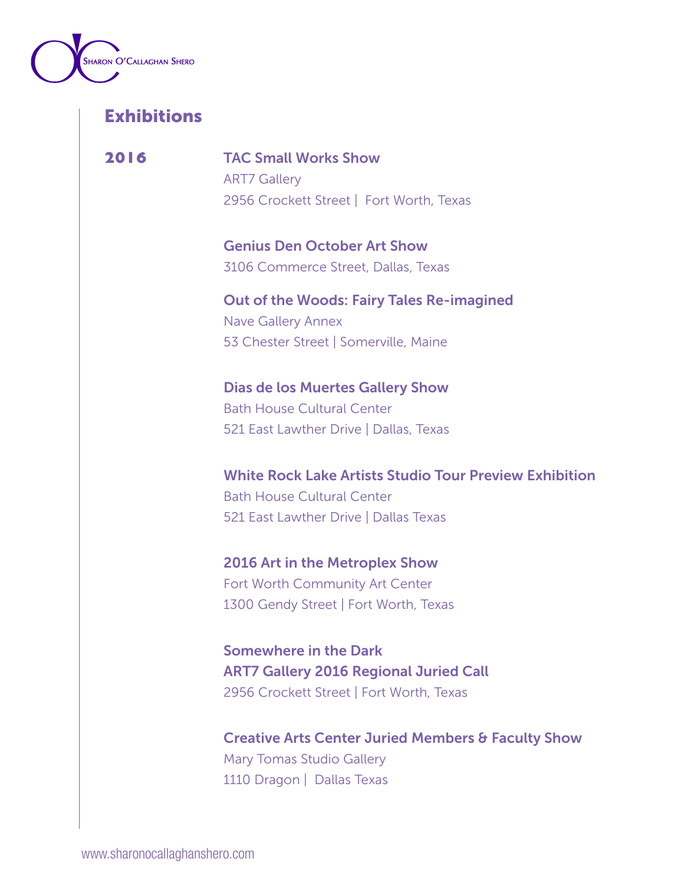

**2016** TAC Small Works Show ART7 Gallery 2956 Crockett Street | Fort Worth, Texas

> Genius Den October Art Show 3106 Commerce Street, Dallas, Texas

Out of the Woods: Fairy Tales Re-imagined Nave Gallery Annex 53 Chester Street | Somerville, Maine

Dias de los Muertes Gallery Show Bath House Cultural Center 521 East Lawther Drive | Dallas, Texas

White Rock Lake Artists Studio Tour Preview Exhibition Bath House Cultural Center 521 East Lawther Drive | Dallas Texas

2016 Art in the Metroplex Show Fort Worth Community Art Center 1300 Gendy Street | Fort Worth, Texas

Somewhere in the Dark ART7 Gallery 2016 Regional Juried Call 2956 Crockett Street | Fort Worth, Texas

Creative Arts Center Juried Members & Faculty Show Mary Tomas Studio Gallery 1110 Dragon | Dallas Texas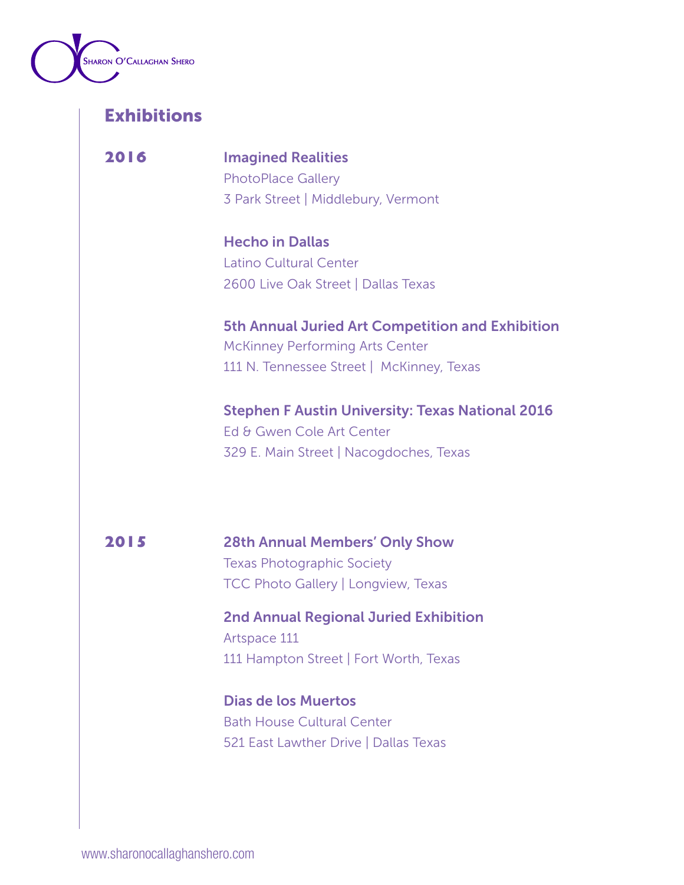

**2016** Imagined Realities PhotoPlace Gallery 3 Park Street | Middlebury, Vermont

> Hecho in Dallas Latino Cultural Center 2600 Live Oak Street | Dallas Texas

5th Annual Juried Art Competition and Exhibition McKinney Performing Arts Center 111 N. Tennessee Street | McKinney, Texas

Stephen F Austin University: Texas National 2016 Ed & Gwen Cole Art Center 329 E. Main Street | Nacogdoches, Texas

**2015** 28th Annual Members' Only Show Texas Photographic Society TCC Photo Gallery | Longview, Texas

> 2nd Annual Regional Juried Exhibition Artspace 111 111 Hampton Street | Fort Worth, Texas

Dias de los Muertos Bath House Cultural Center 521 East Lawther Drive | Dallas Texas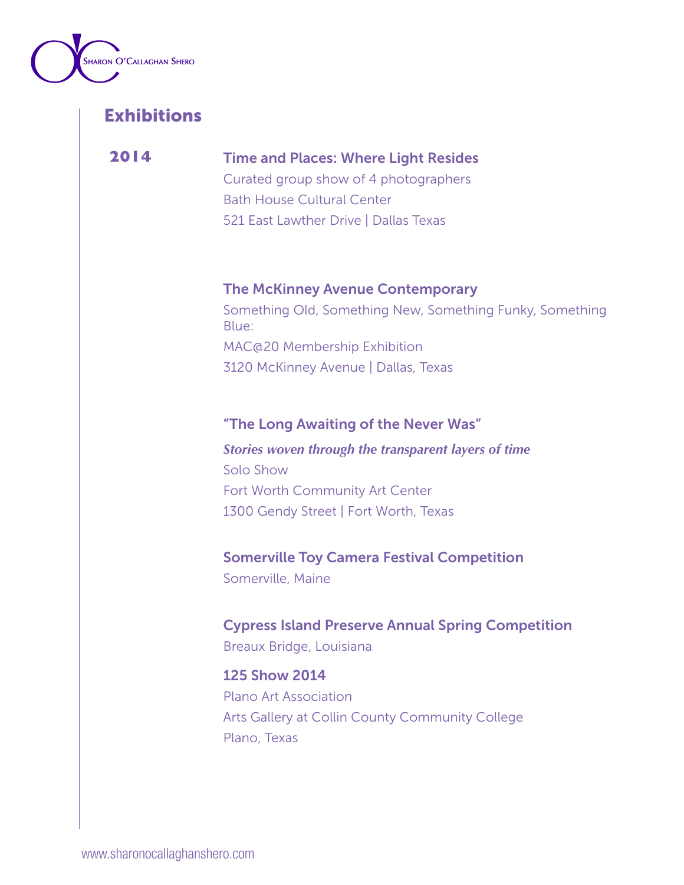

## **2014** Time and Places: Where Light Resides

Curated group show of 4 photographers Bath House Cultural Center 521 East Lawther Drive | Dallas Texas

### The McKinney Avenue Contemporary

Something Old, Something New, Something Funky, Something Blue: MAC@20 Membership Exhibition 3120 McKinney Avenue | Dallas, Texas

### "The Long Awaiting of the Never Was"

## *Stories woven through the transparent layers of time* Solo Show Fort Worth Community Art Center 1300 Gendy Street | Fort Worth, Texas

### Somerville Toy Camera Festival Competition

Somerville, Maine

### Cypress Island Preserve Annual Spring Competition Breaux Bridge, Louisiana

#### 125 Show 2014

Plano Art Association Arts Gallery at Collin County Community College Plano, Texas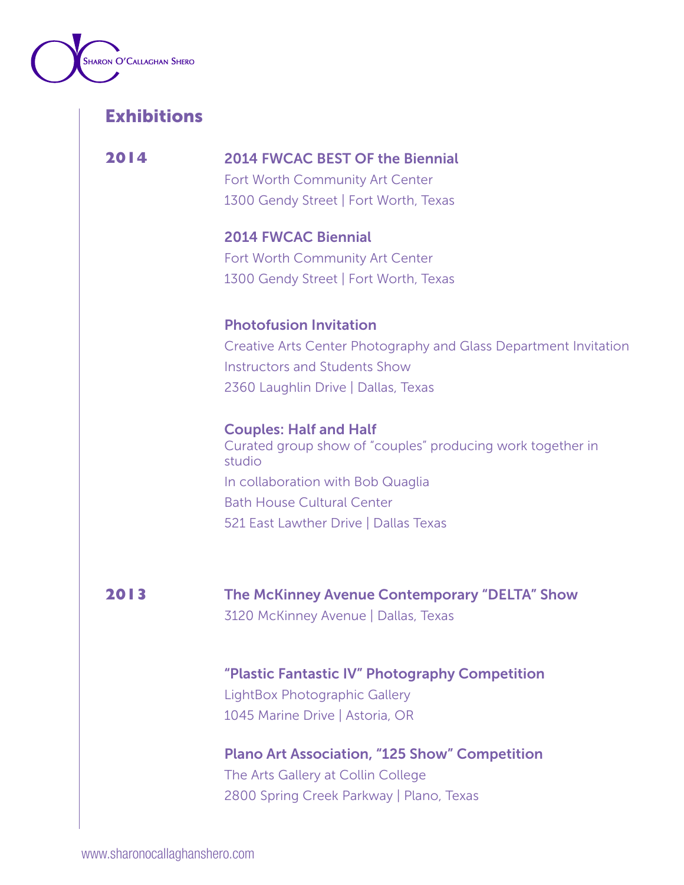

**2014** 2014 FWCAC BEST OF the Biennial Fort Worth Community Art Center

1300 Gendy Street | Fort Worth, Texas

2014 FWCAC Biennial Fort Worth Community Art Center 1300 Gendy Street | Fort Worth, Texas

#### Photofusion Invitation

Creative Arts Center Photography and Glass Department Invitation Instructors and Students Show 2360 Laughlin Drive | Dallas, Texas

Couples: Half and Half Curated group show of "couples" producing work together in studio In collaboration with Bob Quaglia Bath House Cultural Center 521 East Lawther Drive | Dallas Texas

**2013** The McKinney Avenue Contemporary "DELTA" Show 3120 McKinney Avenue | Dallas, Texas

> "Plastic Fantastic IV" Photography Competition LightBox Photographic Gallery

1045 Marine Drive | Astoria, OR

Plano Art Association, "125 Show" Competition The Arts Gallery at Collin College 2800 Spring Creek Parkway | Plano, Texas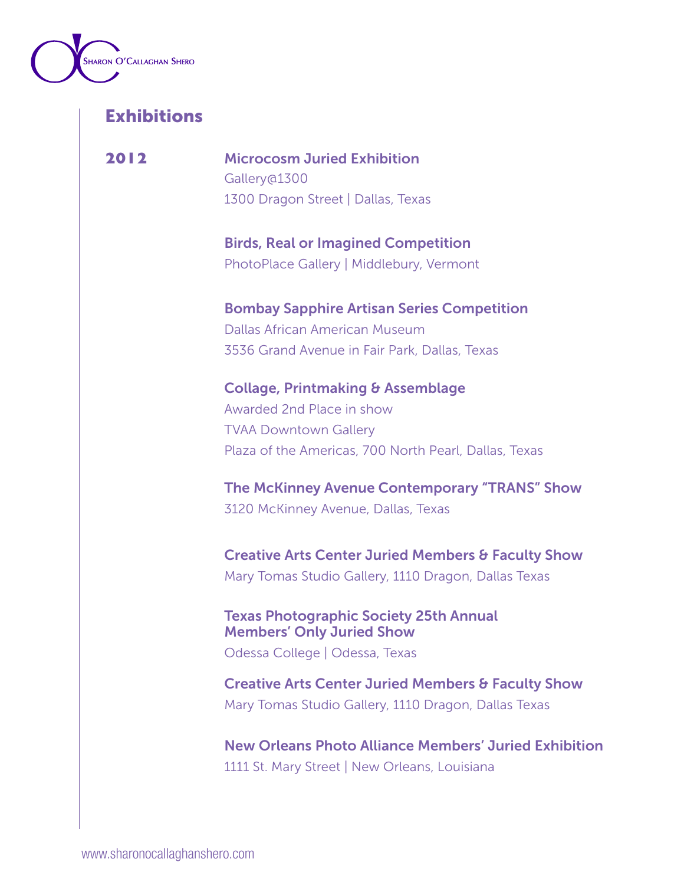

**2012** Microcosm Juried Exhibition Gallery@1300 1300 Dragon Street | Dallas, Texas

> Birds, Real or Imagined Competition PhotoPlace Gallery | Middlebury, Vermont

Bombay Sapphire Artisan Series Competition Dallas African American Museum 3536 Grand Avenue in Fair Park, Dallas, Texas

Collage, Printmaking & Assemblage Awarded 2nd Place in show TVAA Downtown Gallery Plaza of the Americas, 700 North Pearl, Dallas, Texas

The McKinney Avenue Contemporary "TRANS" Show 3120 McKinney Avenue, Dallas, Texas

Creative Arts Center Juried Members & Faculty Show Mary Tomas Studio Gallery, 1110 Dragon, Dallas Texas

Texas Photographic Society 25th Annual Members' Only Juried Show

Odessa College | Odessa, Texas

Creative Arts Center Juried Members & Faculty Show Mary Tomas Studio Gallery, 1110 Dragon, Dallas Texas

New Orleans Photo Alliance Members' Juried Exhibition 1111 St. Mary Street | New Orleans, Louisiana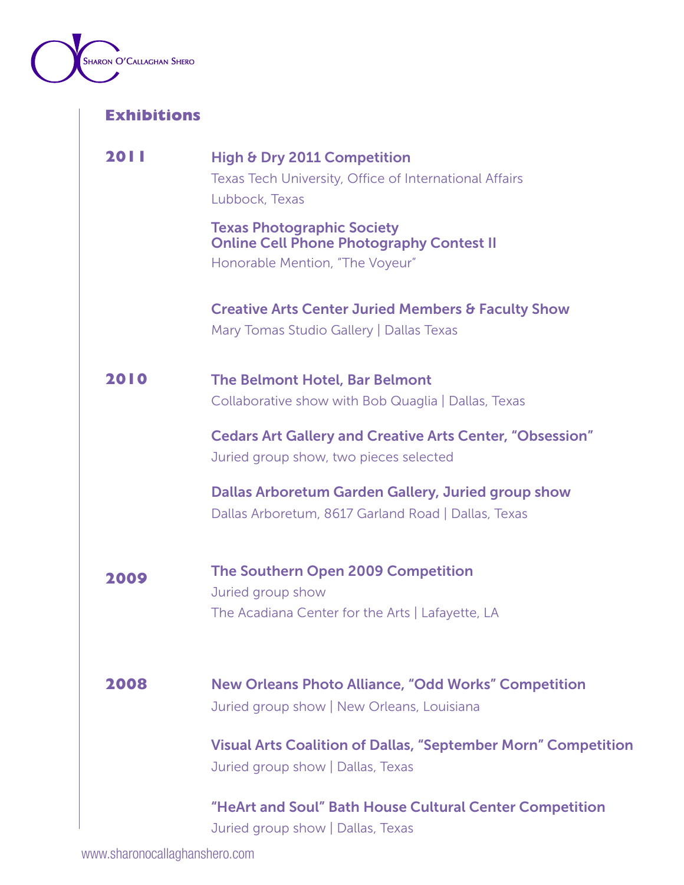

| <b>2011</b> | High & Dry 2011 Competition<br>Texas Tech University, Office of International Affairs<br>Lubbock, Texas                 |
|-------------|-------------------------------------------------------------------------------------------------------------------------|
|             | <b>Texas Photographic Society</b><br><b>Online Cell Phone Photography Contest II</b><br>Honorable Mention, "The Voyeur" |
|             | <b>Creative Arts Center Juried Members &amp; Faculty Show</b><br>Mary Tomas Studio Gallery   Dallas Texas               |
| 2010        | <b>The Belmont Hotel, Bar Belmont</b><br>Collaborative show with Bob Quaglia   Dallas, Texas                            |
|             | <b>Cedars Art Gallery and Creative Arts Center, "Obsession"</b><br>Juried group show, two pieces selected               |
|             | Dallas Arboretum Garden Gallery, Juried group show<br>Dallas Arboretum, 8617 Garland Road   Dallas, Texas               |
| 2009        | The Southern Open 2009 Competition<br>Juried group show<br>The Acadiana Center for the Arts   Lafayette, LA             |
| 2008        | <b>New Orleans Photo Alliance, "Odd Works" Competition</b><br>Juried group show   New Orleans, Louisiana                |
|             | <b>Visual Arts Coalition of Dallas, "September Morn" Competition</b><br>Juried group show   Dallas, Texas               |
|             | "HeArt and Soul" Bath House Cultural Center Competition<br>Juried group show   Dallas, Texas                            |